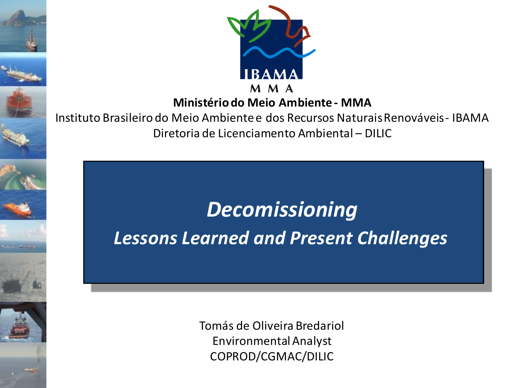











**Ministério do Meio Ambiente - MMA**

Instituto Brasileiro do Meio Ambiente e dos Recursos Naturais Renováveis - IBAMA Diretoria de Licenciamento Ambiental – DILIC

# *Decomissioning Lessons Learned and Present Challenges*

Tomás de Oliveira Bredariol Environmental Analyst COPROD/CGMAC/DILIC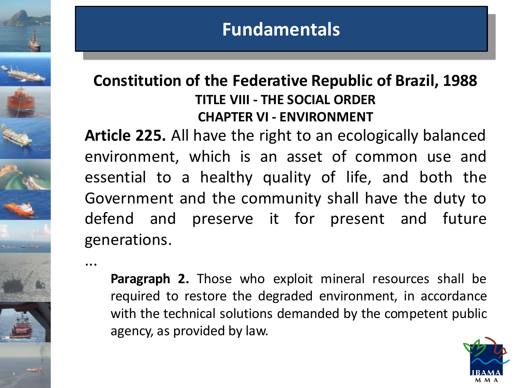### **Constitution of the Federative Republic of Brazil, 1988 TITLE VIII - THE SOCIAL ORDER CHAPTER VI - ENVIRONMENT**

**Article 225.** All have the right to an ecologically balanced environment, which is an asset of common use and essential to a healthy quality of life, and both the Government and the community shall have the duty to defend and preserve it for present and future generations.

...

**Paragraph 2.** Those who exploit mineral resources shall be required to restore the degraded environment, in accordance with the technical solutions demanded by the competent public agency, as provided by law.

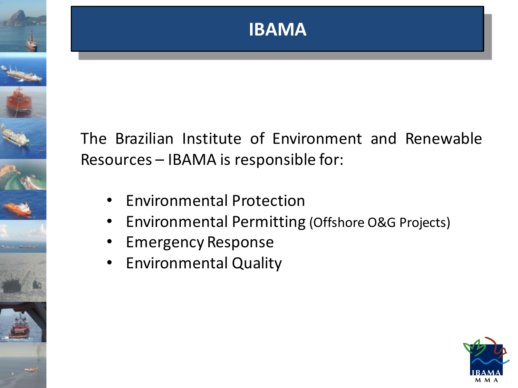The Brazilian Institute of Environment and Renewable Resources – IBAMA is responsible for:

- Environmental Protection
- Environmental Permitting (Offshore O&G Projects)
- Emergency Response
- Environmental Quality

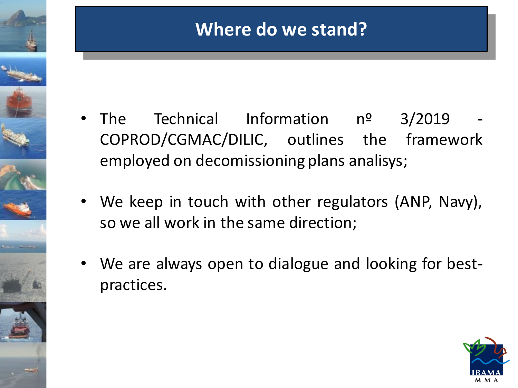- The Technical Information  $n^{\circ}$  3/2019 COPROD/CGMAC/DILIC, outlines the framework employed on decomissioning plans analisys;
- We keep in touch with other regulators (ANP, Navy), so we all work in the same direction;
- We are always open to dialogue and looking for bestpractices.

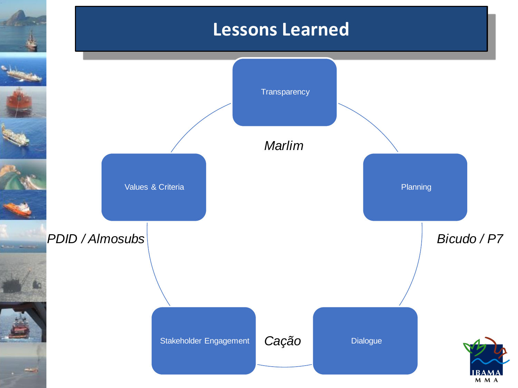## **Lessons Learned**

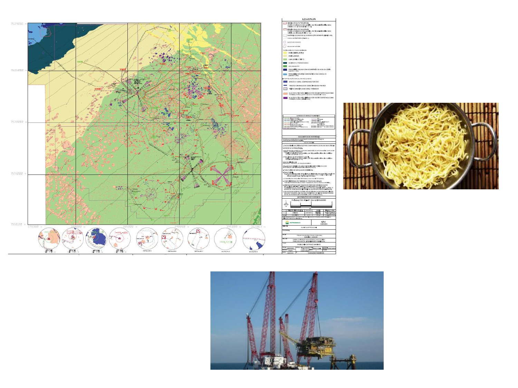





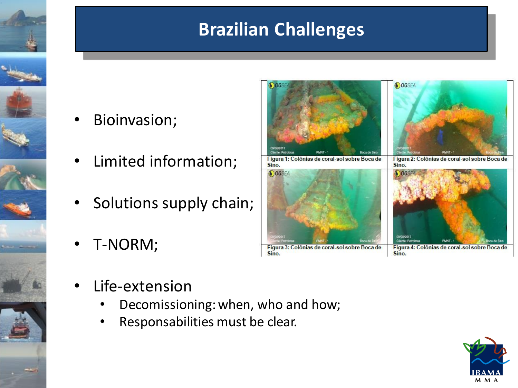## **Brazilian Challenges**

- Bioinvasion;
- Limited information;
- Solutions supply chain;
- T-NORM;
- Life-extension
	- Decomissioning: when, who and how;
	- Responsabilities must be clear.



Figura 3: Colônias de coral-sol sobre Boca de Sino.

Figura 4: Colônias de coral-sol sobre Boca de Sino.

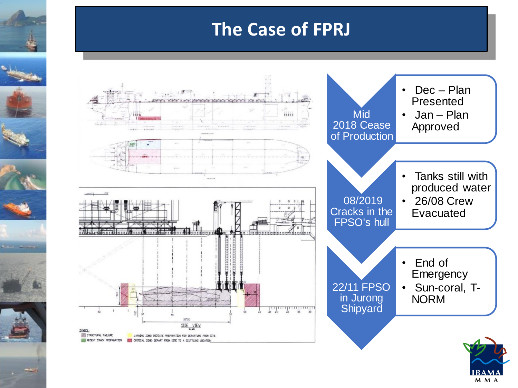











**The Case of FPRJ**